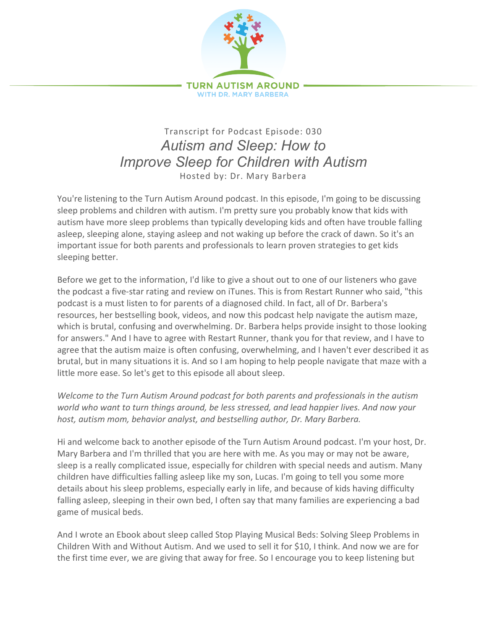

## Transcript for Podcast Episode: 030 *Autism and Sleep: How to Improve Sleep for Children with Autism* Hosted by: Dr. Mary Barbera

You're listening to the Turn Autism Around podcast. In this episode, I'm going to be discussing sleep problems and children with autism. I'm pretty sure you probably know that kids with autism have more sleep problems than typically developing kids and often have trouble falling asleep, sleeping alone, staying asleep and not waking up before the crack of dawn. So it's an important issue for both parents and professionals to learn proven strategies to get kids sleeping better.

Before we get to the information, I'd like to give a shout out to one of our listeners who gave the podcast a five-star rating and review on iTunes. This is from Restart Runner who said, "this podcast is a must listen to for parents of a diagnosed child. In fact, all of Dr. Barbera's resources, her bestselling book, videos, and now this podcast help navigate the autism maze, which is brutal, confusing and overwhelming. Dr. Barbera helps provide insight to those looking for answers." And I have to agree with Restart Runner, thank you for that review, and I have to agree that the autism maize is often confusing, overwhelming, and I haven't ever described it as brutal, but in many situations it is. And so I am hoping to help people navigate that maze with a little more ease. So let's get to this episode all about sleep.

*Welcome to the Turn Autism Around podcast for both parents and professionals in the autism world who want to turn things around, be less stressed, and lead happier lives. And now your host, autism mom, behavior analyst, and bestselling author, Dr. Mary Barbera.*

Hi and welcome back to another episode of the Turn Autism Around podcast. I'm your host, Dr. Mary Barbera and I'm thrilled that you are here with me. As you may or may not be aware, sleep is a really complicated issue, especially for children with special needs and autism. Many children have difficulties falling asleep like my son, Lucas. I'm going to tell you some more details about his sleep problems, especially early in life, and because of kids having difficulty falling asleep, sleeping in their own bed, I often say that many families are experiencing a bad game of musical beds.

And I wrote an Ebook about sleep called Stop Playing Musical Beds: Solving Sleep Problems in Children With and Without Autism. And we used to sell it for \$10, I think. And now we are for the first time ever, we are giving that away for free. So I encourage you to keep listening but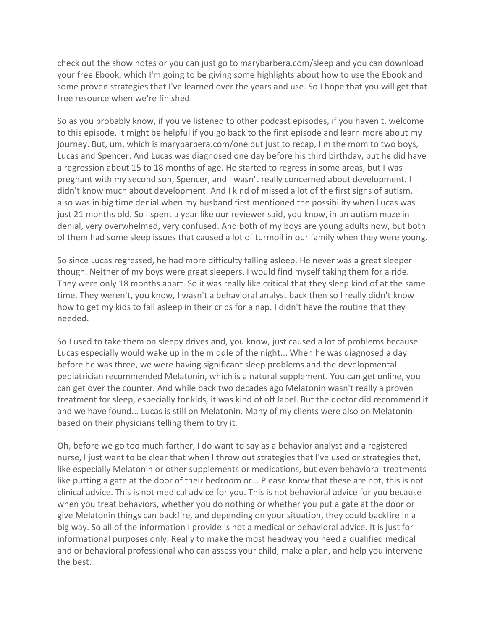check out the show notes or you can just go to marybarbera.com/sleep and you can download your free Ebook, which I'm going to be giving some highlights about how to use the Ebook and some proven strategies that I've learned over the years and use. So I hope that you will get that free resource when we're finished.

So as you probably know, if you've listened to other podcast episodes, if you haven't, welcome to this episode, it might be helpful if you go back to the first episode and learn more about my journey. But, um, which is marybarbera.com/one but just to recap, I'm the mom to two boys, Lucas and Spencer. And Lucas was diagnosed one day before his third birthday, but he did have a regression about 15 to 18 months of age. He started to regress in some areas, but I was pregnant with my second son, Spencer, and I wasn't really concerned about development. I didn't know much about development. And I kind of missed a lot of the first signs of autism. I also was in big time denial when my husband first mentioned the possibility when Lucas was just 21 months old. So I spent a year like our reviewer said, you know, in an autism maze in denial, very overwhelmed, very confused. And both of my boys are young adults now, but both of them had some sleep issues that caused a lot of turmoil in our family when they were young.

So since Lucas regressed, he had more difficulty falling asleep. He never was a great sleeper though. Neither of my boys were great sleepers. I would find myself taking them for a ride. They were only 18 months apart. So it was really like critical that they sleep kind of at the same time. They weren't, you know, I wasn't a behavioral analyst back then so I really didn't know how to get my kids to fall asleep in their cribs for a nap. I didn't have the routine that they needed.

So I used to take them on sleepy drives and, you know, just caused a lot of problems because Lucas especially would wake up in the middle of the night... When he was diagnosed a day before he was three, we were having significant sleep problems and the developmental pediatrician recommended Melatonin, which is a natural supplement. You can get online, you can get over the counter. And while back two decades ago Melatonin wasn't really a proven treatment for sleep, especially for kids, it was kind of off label. But the doctor did recommend it and we have found... Lucas is still on Melatonin. Many of my clients were also on Melatonin based on their physicians telling them to try it.

Oh, before we go too much farther, I do want to say as a behavior analyst and a registered nurse, I just want to be clear that when I throw out strategies that I've used or strategies that, like especially Melatonin or other supplements or medications, but even behavioral treatments like putting a gate at the door of their bedroom or... Please know that these are not, this is not clinical advice. This is not medical advice for you. This is not behavioral advice for you because when you treat behaviors, whether you do nothing or whether you put a gate at the door or give Melatonin things can backfire, and depending on your situation, they could backfire in a big way. So all of the information I provide is not a medical or behavioral advice. It is just for informational purposes only. Really to make the most headway you need a qualified medical and or behavioral professional who can assess your child, make a plan, and help you intervene the best.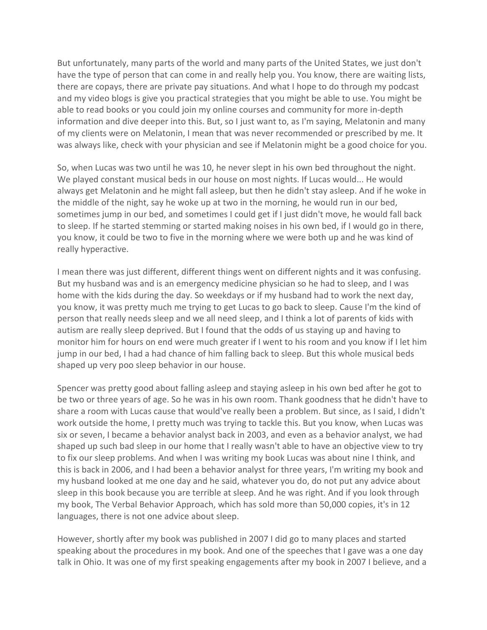But unfortunately, many parts of the world and many parts of the United States, we just don't have the type of person that can come in and really help you. You know, there are waiting lists, there are copays, there are private pay situations. And what I hope to do through my podcast and my video blogs is give you practical strategies that you might be able to use. You might be able to read books or you could join my online courses and community for more in-depth information and dive deeper into this. But, so I just want to, as I'm saying, Melatonin and many of my clients were on Melatonin, I mean that was never recommended or prescribed by me. It was always like, check with your physician and see if Melatonin might be a good choice for you.

So, when Lucas was two until he was 10, he never slept in his own bed throughout the night. We played constant musical beds in our house on most nights. If Lucas would... He would always get Melatonin and he might fall asleep, but then he didn't stay asleep. And if he woke in the middle of the night, say he woke up at two in the morning, he would run in our bed, sometimes jump in our bed, and sometimes I could get if I just didn't move, he would fall back to sleep. If he started stemming or started making noises in his own bed, if I would go in there, you know, it could be two to five in the morning where we were both up and he was kind of really hyperactive.

I mean there was just different, different things went on different nights and it was confusing. But my husband was and is an emergency medicine physician so he had to sleep, and I was home with the kids during the day. So weekdays or if my husband had to work the next day, you know, it was pretty much me trying to get Lucas to go back to sleep. Cause I'm the kind of person that really needs sleep and we all need sleep, and I think a lot of parents of kids with autism are really sleep deprived. But I found that the odds of us staying up and having to monitor him for hours on end were much greater if I went to his room and you know if I let him jump in our bed, I had a had chance of him falling back to sleep. But this whole musical beds shaped up very poo sleep behavior in our house.

Spencer was pretty good about falling asleep and staying asleep in his own bed after he got to be two or three years of age. So he was in his own room. Thank goodness that he didn't have to share a room with Lucas cause that would've really been a problem. But since, as I said, I didn't work outside the home, I pretty much was trying to tackle this. But you know, when Lucas was six or seven, I became a behavior analyst back in 2003, and even as a behavior analyst, we had shaped up such bad sleep in our home that I really wasn't able to have an objective view to try to fix our sleep problems. And when I was writing my book Lucas was about nine I think, and this is back in 2006, and I had been a behavior analyst for three years, I'm writing my book and my husband looked at me one day and he said, whatever you do, do not put any advice about sleep in this book because you are terrible at sleep. And he was right. And if you look through my book, The Verbal Behavior Approach, which has sold more than 50,000 copies, it's in 12 languages, there is not one advice about sleep.

However, shortly after my book was published in 2007 I did go to many places and started speaking about the procedures in my book. And one of the speeches that I gave was a one day talk in Ohio. It was one of my first speaking engagements after my book in 2007 I believe, and a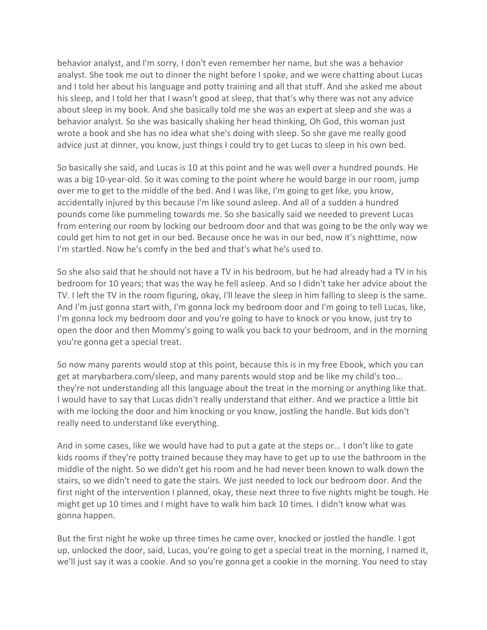behavior analyst, and I'm sorry, I don't even remember her name, but she was a behavior analyst. She took me out to dinner the night before I spoke, and we were chatting about Lucas and I told her about his language and potty training and all that stuff. And she asked me about his sleep, and I told her that I wasn't good at sleep, that that's why there was not any advice about sleep in my book. And she basically told me she was an expert at sleep and she was a behavior analyst. So she was basically shaking her head thinking, Oh God, this woman just wrote a book and she has no idea what she's doing with sleep. So she gave me really good advice just at dinner, you know, just things I could try to get Lucas to sleep in his own bed.

So basically she said, and Lucas is 10 at this point and he was well over a hundred pounds. He was a big 10-year-old. So it was coming to the point where he would barge in our room, jump over me to get to the middle of the bed. And I was like, I'm going to get like, you know, accidentally injured by this because I'm like sound asleep. And all of a sudden a hundred pounds come like pummeling towards me. So she basically said we needed to prevent Lucas from entering our room by locking our bedroom door and that was going to be the only way we could get him to not get in our bed. Because once he was in our bed, now it's nighttime, now I'm startled. Now he's comfy in the bed and that's what he's used to.

So she also said that he should not have a TV in his bedroom, but he had already had a TV in his bedroom for 10 years; that was the way he fell asleep. And so I didn't take her advice about the TV. I left the TV in the room figuring, okay, I'll leave the sleep in him falling to sleep is the same. And I'm just gonna start with, I'm gonna lock my bedroom door and I'm going to tell Lucas, like, I'm gonna lock my bedroom door and you're going to have to knock or you know, just try to open the door and then Mommy's going to walk you back to your bedroom, and in the morning you're gonna get a special treat.

So now many parents would stop at this point, because this is in my free Ebook, which you can get at marybarbera.com/sleep, and many parents would stop and be like my child's too... they're not understanding all this language about the treat in the morning or anything like that. I would have to say that Lucas didn't really understand that either. And we practice a little bit with me locking the door and him knocking or you know, jostling the handle. But kids don't really need to understand like everything.

And in some cases, like we would have had to put a gate at the steps or... I don't like to gate kids rooms if they're potty trained because they may have to get up to use the bathroom in the middle of the night. So we didn't get his room and he had never been known to walk down the stairs, so we didn't need to gate the stairs. We just needed to lock our bedroom door. And the first night of the intervention I planned, okay, these next three to five nights might be tough. He might get up 10 times and I might have to walk him back 10 times. I didn't know what was gonna happen.

But the first night he woke up three times he came over, knocked or jostled the handle. I got up, unlocked the door, said, Lucas, you're going to get a special treat in the morning, I named it, we'll just say it was a cookie. And so you're gonna get a cookie in the morning. You need to stay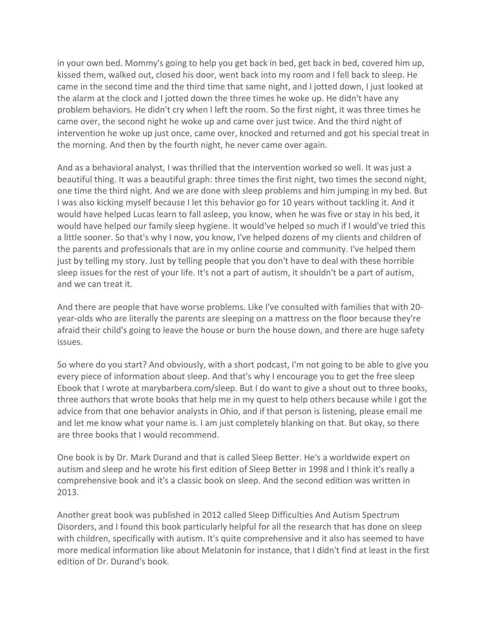in your own bed. Mommy's going to help you get back in bed, get back in bed, covered him up, kissed them, walked out, closed his door, went back into my room and I fell back to sleep. He came in the second time and the third time that same night, and I jotted down, I just looked at the alarm at the clock and I jotted down the three times he woke up. He didn't have any problem behaviors. He didn't cry when I left the room. So the first night, it was three times he came over, the second night he woke up and came over just twice. And the third night of intervention he woke up just once, came over, knocked and returned and got his special treat in the morning. And then by the fourth night, he never came over again.

And as a behavioral analyst, I was thrilled that the intervention worked so well. It was just a beautiful thing. It was a beautiful graph: three times the first night, two times the second night, one time the third night. And we are done with sleep problems and him jumping in my bed. But I was also kicking myself because I let this behavior go for 10 years without tackling it. And it would have helped Lucas learn to fall asleep, you know, when he was five or stay in his bed, it would have helped our family sleep hygiene. It would've helped so much if I would've tried this a little sooner. So that's why I now, you know, I've helped dozens of my clients and children of the parents and professionals that are in my online course and community. I've helped them just by telling my story. Just by telling people that you don't have to deal with these horrible sleep issues for the rest of your life. It's not a part of autism, it shouldn't be a part of autism, and we can treat it.

And there are people that have worse problems. Like I've consulted with families that with 20 year-olds who are literally the parents are sleeping on a mattress on the floor because they're afraid their child's going to leave the house or burn the house down, and there are huge safety issues.

So where do you start? And obviously, with a short podcast, I'm not going to be able to give you every piece of information about sleep. And that's why I encourage you to get the free sleep Ebook that I wrote at marybarbera.com/sleep. But I do want to give a shout out to three books, three authors that wrote books that help me in my quest to help others because while I got the advice from that one behavior analysts in Ohio, and if that person is listening, please email me and let me know what your name is. I am just completely blanking on that. But okay, so there are three books that I would recommend.

One book is by Dr. Mark Durand and that is called Sleep Better. He's a worldwide expert on autism and sleep and he wrote his first edition of Sleep Better in 1998 and I think it's really a comprehensive book and it's a classic book on sleep. And the second edition was written in 2013.

Another great book was published in 2012 called Sleep Difficulties And Autism Spectrum Disorders, and I found this book particularly helpful for all the research that has done on sleep with children, specifically with autism. It's quite comprehensive and it also has seemed to have more medical information like about Melatonin for instance, that I didn't find at least in the first edition of Dr. Durand's book.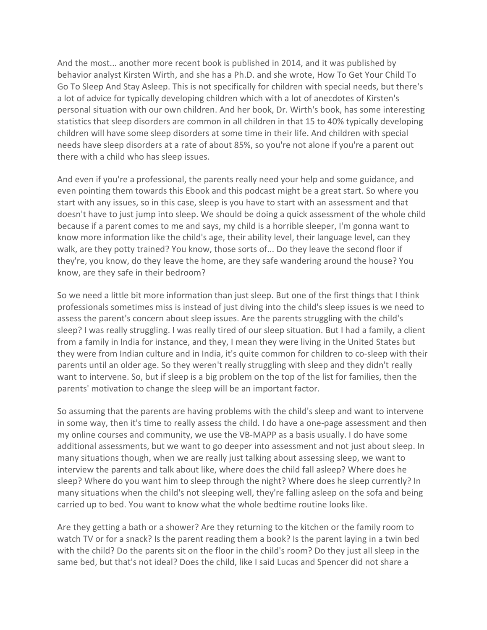And the most... another more recent book is published in 2014, and it was published by behavior analyst Kirsten Wirth, and she has a Ph.D. and she wrote, How To Get Your Child To Go To Sleep And Stay Asleep. This is not specifically for children with special needs, but there's a lot of advice for typically developing children which with a lot of anecdotes of Kirsten's personal situation with our own children. And her book, Dr. Wirth's book, has some interesting statistics that sleep disorders are common in all children in that 15 to 40% typically developing children will have some sleep disorders at some time in their life. And children with special needs have sleep disorders at a rate of about 85%, so you're not alone if you're a parent out there with a child who has sleep issues.

And even if you're a professional, the parents really need your help and some guidance, and even pointing them towards this Ebook and this podcast might be a great start. So where you start with any issues, so in this case, sleep is you have to start with an assessment and that doesn't have to just jump into sleep. We should be doing a quick assessment of the whole child because if a parent comes to me and says, my child is a horrible sleeper, I'm gonna want to know more information like the child's age, their ability level, their language level, can they walk, are they potty trained? You know, those sorts of... Do they leave the second floor if they're, you know, do they leave the home, are they safe wandering around the house? You know, are they safe in their bedroom?

So we need a little bit more information than just sleep. But one of the first things that I think professionals sometimes miss is instead of just diving into the child's sleep issues is we need to assess the parent's concern about sleep issues. Are the parents struggling with the child's sleep? I was really struggling. I was really tired of our sleep situation. But I had a family, a client from a family in India for instance, and they, I mean they were living in the United States but they were from Indian culture and in India, it's quite common for children to co-sleep with their parents until an older age. So they weren't really struggling with sleep and they didn't really want to intervene. So, but if sleep is a big problem on the top of the list for families, then the parents' motivation to change the sleep will be an important factor.

So assuming that the parents are having problems with the child's sleep and want to intervene in some way, then it's time to really assess the child. I do have a one-page assessment and then my online courses and community, we use the VB-MAPP as a basis usually. I do have some additional assessments, but we want to go deeper into assessment and not just about sleep. In many situations though, when we are really just talking about assessing sleep, we want to interview the parents and talk about like, where does the child fall asleep? Where does he sleep? Where do you want him to sleep through the night? Where does he sleep currently? In many situations when the child's not sleeping well, they're falling asleep on the sofa and being carried up to bed. You want to know what the whole bedtime routine looks like.

Are they getting a bath or a shower? Are they returning to the kitchen or the family room to watch TV or for a snack? Is the parent reading them a book? Is the parent laying in a twin bed with the child? Do the parents sit on the floor in the child's room? Do they just all sleep in the same bed, but that's not ideal? Does the child, like I said Lucas and Spencer did not share a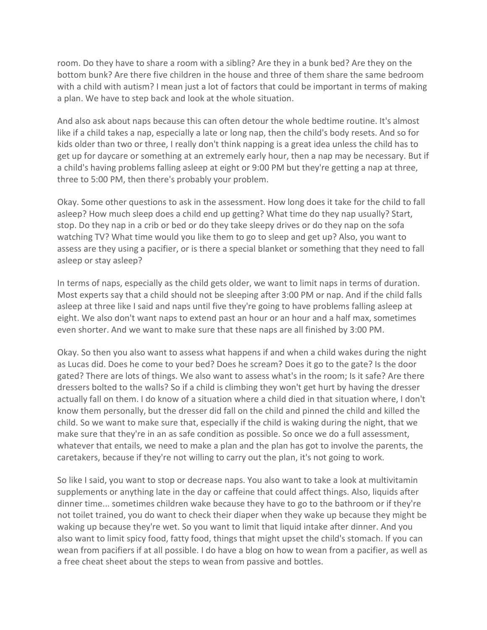room. Do they have to share a room with a sibling? Are they in a bunk bed? Are they on the bottom bunk? Are there five children in the house and three of them share the same bedroom with a child with autism? I mean just a lot of factors that could be important in terms of making a plan. We have to step back and look at the whole situation.

And also ask about naps because this can often detour the whole bedtime routine. It's almost like if a child takes a nap, especially a late or long nap, then the child's body resets. And so for kids older than two or three, I really don't think napping is a great idea unless the child has to get up for daycare or something at an extremely early hour, then a nap may be necessary. But if a child's having problems falling asleep at eight or 9:00 PM but they're getting a nap at three, three to 5:00 PM, then there's probably your problem.

Okay. Some other questions to ask in the assessment. How long does it take for the child to fall asleep? How much sleep does a child end up getting? What time do they nap usually? Start, stop. Do they nap in a crib or bed or do they take sleepy drives or do they nap on the sofa watching TV? What time would you like them to go to sleep and get up? Also, you want to assess are they using a pacifier, or is there a special blanket or something that they need to fall asleep or stay asleep?

In terms of naps, especially as the child gets older, we want to limit naps in terms of duration. Most experts say that a child should not be sleeping after 3:00 PM or nap. And if the child falls asleep at three like I said and naps until five they're going to have problems falling asleep at eight. We also don't want naps to extend past an hour or an hour and a half max, sometimes even shorter. And we want to make sure that these naps are all finished by 3:00 PM.

Okay. So then you also want to assess what happens if and when a child wakes during the night as Lucas did. Does he come to your bed? Does he scream? Does it go to the gate? Is the door gated? There are lots of things. We also want to assess what's in the room; Is it safe? Are there dressers bolted to the walls? So if a child is climbing they won't get hurt by having the dresser actually fall on them. I do know of a situation where a child died in that situation where, I don't know them personally, but the dresser did fall on the child and pinned the child and killed the child. So we want to make sure that, especially if the child is waking during the night, that we make sure that they're in an as safe condition as possible. So once we do a full assessment, whatever that entails, we need to make a plan and the plan has got to involve the parents, the caretakers, because if they're not willing to carry out the plan, it's not going to work.

So like I said, you want to stop or decrease naps. You also want to take a look at multivitamin supplements or anything late in the day or caffeine that could affect things. Also, liquids after dinner time... sometimes children wake because they have to go to the bathroom or if they're not toilet trained, you do want to check their diaper when they wake up because they might be waking up because they're wet. So you want to limit that liquid intake after dinner. And you also want to limit spicy food, fatty food, things that might upset the child's stomach. If you can wean from pacifiers if at all possible. I do have a blog on how to wean from a pacifier, as well as a free cheat sheet about the steps to wean from passive and bottles.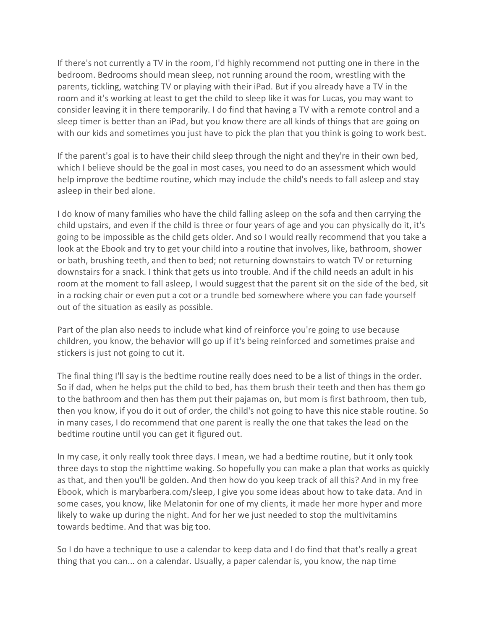If there's not currently a TV in the room, I'd highly recommend not putting one in there in the bedroom. Bedrooms should mean sleep, not running around the room, wrestling with the parents, tickling, watching TV or playing with their iPad. But if you already have a TV in the room and it's working at least to get the child to sleep like it was for Lucas, you may want to consider leaving it in there temporarily. I do find that having a TV with a remote control and a sleep timer is better than an iPad, but you know there are all kinds of things that are going on with our kids and sometimes you just have to pick the plan that you think is going to work best.

If the parent's goal is to have their child sleep through the night and they're in their own bed, which I believe should be the goal in most cases, you need to do an assessment which would help improve the bedtime routine, which may include the child's needs to fall asleep and stay asleep in their bed alone.

I do know of many families who have the child falling asleep on the sofa and then carrying the child upstairs, and even if the child is three or four years of age and you can physically do it, it's going to be impossible as the child gets older. And so I would really recommend that you take a look at the Ebook and try to get your child into a routine that involves, like, bathroom, shower or bath, brushing teeth, and then to bed; not returning downstairs to watch TV or returning downstairs for a snack. I think that gets us into trouble. And if the child needs an adult in his room at the moment to fall asleep, I would suggest that the parent sit on the side of the bed, sit in a rocking chair or even put a cot or a trundle bed somewhere where you can fade yourself out of the situation as easily as possible.

Part of the plan also needs to include what kind of reinforce you're going to use because children, you know, the behavior will go up if it's being reinforced and sometimes praise and stickers is just not going to cut it.

The final thing I'll say is the bedtime routine really does need to be a list of things in the order. So if dad, when he helps put the child to bed, has them brush their teeth and then has them go to the bathroom and then has them put their pajamas on, but mom is first bathroom, then tub, then you know, if you do it out of order, the child's not going to have this nice stable routine. So in many cases, I do recommend that one parent is really the one that takes the lead on the bedtime routine until you can get it figured out.

In my case, it only really took three days. I mean, we had a bedtime routine, but it only took three days to stop the nighttime waking. So hopefully you can make a plan that works as quickly as that, and then you'll be golden. And then how do you keep track of all this? And in my free Ebook, which is marybarbera.com/sleep, I give you some ideas about how to take data. And in some cases, you know, like Melatonin for one of my clients, it made her more hyper and more likely to wake up during the night. And for her we just needed to stop the multivitamins towards bedtime. And that was big too.

So I do have a technique to use a calendar to keep data and I do find that that's really a great thing that you can... on a calendar. Usually, a paper calendar is, you know, the nap time